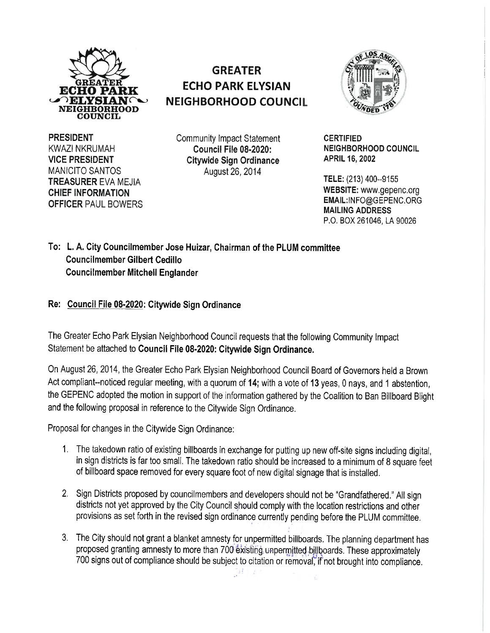

## **GREATER ECHO PARK ELYSIAN NEIGHBORHOOD COUNCIL**



**PRESIDENT**  KWAZI NKRUMAH **VICE PRESIDENT**  MANICITO SANTOS **TREASURER** EVA MEJIA **CHIEF INFORMATION OFFICER** PAUL BOWERS

Community Impact Statement **Council File 08-2020: Citywide Sign Ordinance**  August26, 2014

**CERTIFIED NEIGHBORHOOD COUNCIL APRIL 16, 2002** 

**TELE:** (213) 400--9155 **WEBSITE:** www.gepenc.org EMAIL:INFO@GEPENC.ORG **MAILING ADDRESS**  P.O. BOX 261046, LA 90026

**To: L.A. City Councilmember Jose Huizar, Chairman of the PLUM committee Council member Gilbert Cedillo Councilmember Mitchell Englander** 

**Re: Council File 08-2020: Citywide Sign Ordinance** 

The Greater Echo Park Elysian Neighborhood Council requests that the following Community Impact Statement be attached to **Council File 08-2020: Citywide Sign Ordinance.** 

On August 26, 2014, the Greater Echo Park Elysian Neighborhood Council Board of Governors held a Brown Act compliant--noticed regular meeting, with a quorum of **14;** with a vote of **13** yeas, 0 nays, and 1 abstention, the GEPENC adopted the motion in support of the information gathered by the Coalition to Ban Billboard Blight and the following proposal in reference to the Citywide Sign Ordinance.

Proposal for changes in the Citywide Sign Ordinance:

- 1. The takedown ratio of existing billboards in exchange for putting up new off-site signs including digital, in sign districts is far too small. The takedown ratio should be increased to a minimum of 8 square feet of billboard space removed for every square foot of new digital signage that is installed.
- 2. Sign Districts proposed by councilmembers and developers should not be "Grandfathered." All sign districts not yet approved by the City Council should comply with the location restrictions and other provisions as set forth in the revised sign ordinance currently pending before the PLUM committee.
- 3. The City should not grant a blanket amnesty for unpermitted billboards. The planning department has proposed granting amnesty to more than 700 existing unpermitted billboards. These approximately 700 signs out of compliance should be subject to citation or removal, if not brought into compliance.